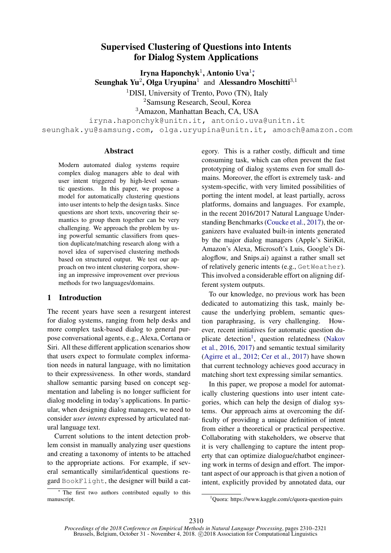# Supervised Clustering of Questions into Intents for Dialog System Applications

Iryna Haponchyk<sup>1</sup>, Antonio Uva<sup>1</sup>;

Seunghak Yu<sup>2</sup>, Olga Uryupina<sup>1</sup> and Alessandro Moschitti<sup>3,1</sup>

<sup>1</sup>DISI, University of Trento, Povo (TN), Italy

<sup>2</sup>Samsung Research, Seoul, Korea

<sup>3</sup>Amazon, Manhattan Beach, CA, USA

iryna.haponchyk@unitn.it, antonio.uva@unitn.it seunghak.yu@samsung.com, olga.uryupina@unitn.it, amosch@amazon.com

# Abstract

Modern automated dialog systems require complex dialog managers able to deal with user intent triggered by high-level semantic questions. In this paper, we propose a model for automatically clustering questions into user intents to help the design tasks. Since questions are short texts, uncovering their semantics to group them together can be very challenging. We approach the problem by using powerful semantic classifiers from question duplicate/matching research along with a novel idea of supervised clustering methods based on structured output. We test our approach on two intent clustering corpora, showing an impressive improvement over previous methods for two languages/domains.

# 1 Introduction

The recent years have seen a resurgent interest for dialog systems, ranging from help desks and more complex task-based dialog to general purpose conversational agents, e.g., Alexa, Cortana or Siri. All these different application scenarios show that users expect to formulate complex information needs in natural language, with no limitation to their expressiveness. In other words, standard shallow semantic parsing based on concept segmentation and labeling is no longer sufficient for dialog modeling in today's applications. In particular, when designing dialog managers, we need to consider *user intents* expressed by articulated natural language text.

Current solutions to the intent detection problem consist in manually analyzing user questions and creating a taxonomy of intents to be attached to the appropriate actions. For example, if several semantically similar/identical questions regard BookFlight, the designer will build a cat-

 $*$  The first two authors contributed equally to this manuscript.

egory. This is a rather costly, difficult and time consuming task, which can often prevent the fast prototyping of dialog systems even for small domains. Moreover, the effort is extremely task- and system-specific, with very limited possibilities of porting the intent model, at least partially, across platforms, domains and languages. For example, in the recent 2016/2017 Natural Language Understanding Benchmarks [\(Coucke et al.,](#page-9-0) [2017\)](#page-9-0), the organizers have evaluated built-in intents generated by the major dialog managers (Apple's SiriKit, Amazon's Alexa, Microsoft's Luis, Google's Dialogflow, and Snips.ai) against a rather small set of relatively generic intents (e.g., GetWeather). This involved a considerable effort on aligning different system outputs.

To our knowledge, no previous work has been dedicated to automatizing this task, mainly because the underlying problem, semantic question paraphrasing, is very challenging. However, recent initiatives for automatic question du-plicate detection<sup>[1](#page-0-0)</sup>, question relatedness [\(Nakov](#page-10-0) [et al.,](#page-10-0) [2016,](#page-10-0) [2017\)](#page-10-1) and semantic textual similarity [\(Agirre et al.,](#page-9-1) [2012;](#page-9-1) [Cer et al.,](#page-9-2) [2017\)](#page-9-2) have shown that current technology achieves good accuracy in matching short text expressing similar semantics.

In this paper, we propose a model for automatically clustering questions into user intent categories, which can help the design of dialog systems. Our approach aims at overcoming the difficulty of providing a unique definition of intent from either a theoretical or practical perspective. Collaborating with stakeholders, we observe that it is very challenging to capture the intent property that can optimize dialogue/chatbot engineering work in terms of design and effort. The important aspect of our approach is that given a notion of intent, explicitly provided by annotated data, our

<span id="page-0-0"></span><sup>1</sup>Quora: https://www.kaggle.com/c/quora-question-pairs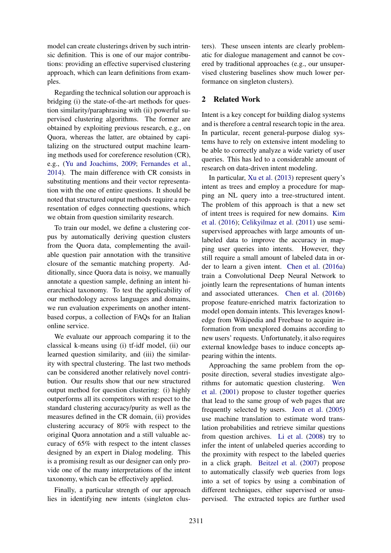model can create clusterings driven by such intrinsic definition. This is one of our major contributions: providing an effective supervised clustering approach, which can learn definitions from examples.

Regarding the technical solution our approach is bridging (i) the state-of-the-art methods for question similarity/paraphrasing with (ii) powerful supervised clustering algorithms. The former are obtained by exploiting previous research, e.g., on Quora, whereas the latter, are obtained by capitalizing on the structured output machine learning methods used for coreference resolution (CR), e.g., [\(Yu and Joachims,](#page-11-0) [2009;](#page-11-0) [Fernandes et al.,](#page-9-3) [2014\)](#page-9-3). The main difference with CR consists in substituting mentions and their vector representation with the one of entire questions. It should be noted that structured output methods require a representation of edges connecting questions, which we obtain from question similarity research.

To train our model, we define a clustering corpus by automatically deriving question clusters from the Quora data, complementing the available question pair annotation with the transitive closure of the semantic matching property. Additionally, since Quora data is noisy, we manually annotate a question sample, defining an intent hierarchical taxonomy. To test the applicability of our methodology across languages and domains, we run evaluation experiments on another intentbased corpus, a collection of FAQs for an Italian online service.

We evaluate our approach comparing it to the classical k-means using (i) tf-idf model, (ii) our learned question similarity, and (iii) the similarity with spectral clustering. The last two methods can be considered another relatively novel contribution. Our results show that our new structured output method for question clustering: (i) highly outperforms all its competitors with respect to the standard clustering accuracy/purity as well as the measures defined in the CR domain, (ii) provides clustering accuracy of 80% with respect to the original Quora annotation and a still valuable accuracy of 65% with respect to the intent classes designed by an expert in Dialog modeling. This is a promising result as our designer can only provide one of the many interpretations of the intent taxonomy, which can be effectively applied.

Finally, a particular strength of our approach lies in identifying new intents (singleton clusters). These unseen intents are clearly problematic for dialogue management and cannot be covered by traditional approaches (e.g., our unsupervised clustering baselines show much lower performance on singleton clusters).

# 2 Related Work

Intent is a key concept for building dialog systems and is therefore a central research topic in the area. In particular, recent general-purpose dialog systems have to rely on extensive intent modeling to be able to correctly analyze a wide variety of user queries. This has led to a considerable amount of research on data-driven intent modeling.

In particular, [Xu et al.](#page-10-2) [\(2013\)](#page-10-2) represent query's intent as trees and employ a procedure for mapping an NL query into a tree-structured intent. The problem of this approach is that a new set of intent trees is required for new domains. [Kim](#page-10-3) [et al.](#page-10-3) [\(2016\)](#page-10-3); [Celikyilmaz et al.](#page-9-4) [\(2011\)](#page-9-4) use semisupervised approaches with large amounts of unlabeled data to improve the accuracy in mapping user queries into intents. However, they still require a small amount of labeled data in order to learn a given intent. [Chen et al.](#page-9-5) [\(2016a\)](#page-9-5) train a Convolutional Deep Neural Network to jointly learn the representations of human intents and associated utterances. [Chen et al.](#page-9-6) [\(2016b\)](#page-9-6) propose feature-enriched matrix factorization to model open domain intents. This leverages knowledge from Wikipedia and Freebase to acquire information from unexplored domains according to new users' requests. Unfortunately, it also requires external knowledge bases to induce concepts appearing within the intents.

Approaching the same problem from the opposite direction, several studies investigate algorithms for automatic question clustering. [Wen](#page-10-4) [et al.](#page-10-4) [\(2001\)](#page-10-4) propose to cluster together queries that lead to the same group of web pages that are frequently selected by users. [Jeon et al.](#page-10-5) [\(2005\)](#page-10-5) use machine translation to estimate word translation probabilities and retrieve similar questions from question archives. [Li et al.](#page-10-6) [\(2008\)](#page-10-6) try to infer the intent of unlabeled queries according to the proximity with respect to the labeled queries in a click graph. [Beitzel et al.](#page-9-7) [\(2007\)](#page-9-7) propose to automatically classify web queries from logs into a set of topics by using a combination of different techniques, either supervised or unsupervised. The extracted topics are further used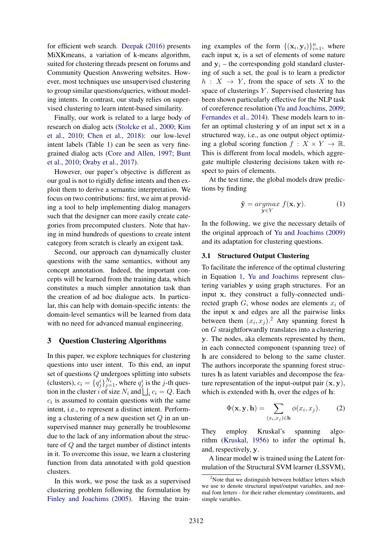for efficient web search. [Deepak](#page-9-8) [\(2016\)](#page-9-8) presents MiXKmeans, a variation of k-means algorithm, suited for clustering threads present on forums and Community Question Answering websites. However, most techniques use unsupervised clustering to group similar questions/queries, without modeling intents. In contrast, our study relies on supervised clustering to learn intent-based similarity.

Finally, our work is related to a large body of research on dialog acts [\(Stolcke et al.,](#page-10-7) [2000;](#page-10-7) [Kim](#page-10-8) [et al.,](#page-10-8) [2010;](#page-10-8) [Chen et al.,](#page-9-9) [2018\)](#page-9-9): our low-level intent labels (Table 1) can be seen as very finegrained dialog acts [\(Core and Allen,](#page-9-10) [1997;](#page-9-10) [Bunt](#page-9-11) [et al.,](#page-9-11) [2010;](#page-9-11) [Oraby et al.,](#page-10-9) [2017\)](#page-10-9).

However, our paper's objective is different as our goal is not to rigidly define intents and then exploit them to derive a semantic interpretation. We focus on two contributions: first, we aim at providing a tool to help implementing dialog managers such that the designer can more easily create categories from precomputed clusters. Note that having in mind hundreds of questions to create intent category from scratch is clearly an exigent task.

Second, our approach can dynamically cluster questions with the same semantics, without any concept annotation. Indeed, the important concepts will be learned from the training data, which constitutes a much simpler annotation task than the creation of ad hoc dialogue acts. In particular, this can help with domain-specific intents: the domain-level semantics will be learned from data with no need for advanced manual engineering.

#### 3 Question Clustering Algorithms

In this paper, we explore techniques for clustering questions into user intent. To this end, an input set of questions Q undergoes splitting into subsets (clusters),  $c_i = \{q_j^i\}_{j=1}^{N_i}$ , where  $q_j^i$  is the j-th question in the cluster *i* of size  $N_i$  and  $\bigsqcup_i c_i = Q$ . Each  $c_i$  is assumed to contain questions with the same intent, i.e., to represent a distinct intent. Performing a clustering of a new question set  $Q$  in an unsupervised manner may generally be troublesome due to the lack of any information about the structure of Q and the target number of distinct intents in it. To overcome this issue, we learn a clustering function from data annotated with gold question clusters.

In this work, we pose the task as a supervised clustering problem following the formulation by [Finley and Joachims](#page-10-10) [\(2005\)](#page-10-10). Having the train-

ing examples of the form  $\{(\mathbf{x}_i, \mathbf{y}_i)\}_{i=1}^n$ , where each input  $x_i$  is a set of elements of some nature and  $y_i$  – the corresponding gold standard clustering of such a set, the goal is to learn a predictor  $h: X \rightarrow Y$ , from the space of sets X to the space of clusterings  $Y$ . Supervised clustering has been shown particularly effective for the NLP task of coreference resolution [\(Yu and Joachims,](#page-11-0) [2009;](#page-11-0) [Fernandes et al.,](#page-9-3) [2014\)](#page-9-3). These models learn to infer an optimal clustering  $y$  of an input set  $x$  in a structured way, i.e., as one output object optimizing a global scoring function  $f : X \times Y \to \mathbb{R}$ . This is different from local models, which aggregate multiple clustering decisions taken with respect to pairs of elements.

At the test time, the global models draw predictions by finding

<span id="page-2-0"></span>
$$
\hat{\mathbf{y}} = \underset{\mathbf{y} \in Y}{\operatorname{argmax}} f(\mathbf{x}, \mathbf{y}). \tag{1}
$$

In the following, we give the necessary details of the original approach of [Yu and Joachims](#page-11-0) [\(2009\)](#page-11-0) and its adaptation for clustering questions.

# 3.1 Structured Output Clustering

To facilitate the inference of the optimal clustering in Equation [1,](#page-2-0) [Yu and Joachims](#page-11-0) represent clustering variables y using graph structures. For an input x, they construct a fully-connected undirected graph  $G$ , whose nodes are elements  $x_i$  of the input x and edges are all the pairwise links between them  $(x_i, x_j)$ .<sup>[2](#page-2-1)</sup> Any spanning forest h on G straightforwardly translates into a clustering y. The nodes, aka elements represented by them, in each connected component (spanning tree) of h are considered to belong to the same cluster. The authors incorporate the spanning forest structures h as latent variables and decompose the feature representation of the input-output pair  $(x, y)$ , which is extended with h, over the edges of h:

$$
\Phi(\mathbf{x}, \mathbf{y}, \mathbf{h}) = \sum_{(x_i, x_j) \in \mathbf{h}} \phi(x_i, x_j). \tag{2}
$$

They employ Kruskal's spanning algorithm [\(Kruskal,](#page-10-11) [1956\)](#page-10-11) to infer the optimal h, and, respectively, y.

A linear model w is trained using the Latent formulation of the Structural SVM learner (LSSVM),

<span id="page-2-1"></span> $2$ Note that we distinguish between boldface letters which we use to denote structural input/output variables, and normal font letters - for their rather elementary constituents, and simple variables.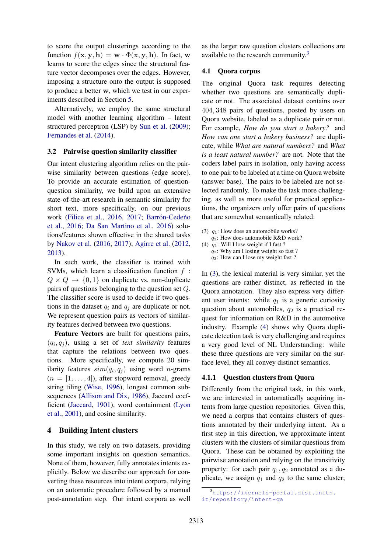to score the output clusterings according to the function  $f(\mathbf{x}, \mathbf{y}, \mathbf{h}) = \mathbf{w} \cdot \Phi(\mathbf{x}, \mathbf{y}, \mathbf{h})$ . In fact, w learns to score the edges since the structural feature vector decomposes over the edges. However, imposing a structure onto the output is supposed to produce a better w, which we test in our experiments described in Section [5.](#page-5-0)

Alternatively, we employ the same structural model with another learning algorithm – latent structured perceptron (LSP) by [Sun et al.](#page-10-12) [\(2009\)](#page-10-12); [Fernandes et al.](#page-9-3) [\(2014\)](#page-9-3).

#### <span id="page-3-4"></span>3.2 Pairwise question similarity classifier

Our intent clustering algorithm relies on the pairwise similarity between questions (edge score). To provide an accurate estimation of questionquestion similarity, we build upon an extensive state-of-the-art research in semantic similarity for short text, more specifically, on our previous work [\(Filice et al.,](#page-9-12) [2016,](#page-9-12) [2017;](#page-10-13) Barrón-Cedeño [et al.,](#page-9-13) [2016;](#page-9-13) [Da San Martino et al.,](#page-9-14) [2016\)](#page-9-14) solutions/features shown effective in the shared tasks by [Nakov et al.](#page-10-0) [\(2016,](#page-10-0) [2017\)](#page-10-1); [Agirre et al.](#page-9-1) [\(2012,](#page-9-1) [2013\)](#page-9-15).

In such work, the classifier is trained with SVMs, which learn a classification function  $f$ :  $Q \times Q \rightarrow \{0, 1\}$  on duplicate vs. non-duplicate pairs of questions belonging to the question set Q. The classifier score is used to decide if two questions in the dataset  $q_i$  and  $q_j$  are duplicate or not. We represent question pairs as vectors of similarity features derived between two questions.

Feature Vectors are built for questions pairs,  $(q_i, q_j)$ , using a set of *text similarity* features that capture the relations between two questions. More specifically, we compute 20 similarity features  $sim(q_i, q_j)$  using word *n*-grams  $(n = [1, \ldots, 4])$ , after stopword removal, greedy string tiling [\(Wise,](#page-10-14) [1996\)](#page-10-14), longest common subsequences [\(Allison and Dix,](#page-9-16) [1986\)](#page-9-16), Jaccard coefficient [\(Jaccard,](#page-10-15) [1901\)](#page-10-15), word containment [\(Lyon](#page-10-16) [et al.,](#page-10-16) [2001\)](#page-10-16), and cosine similarity.

#### <span id="page-3-3"></span>4 Building Intent clusters

In this study, we rely on two datasets, providing some important insights on question semantics. None of them, however, fully annotates intents explicitly. Below we describe our approach for converting these resources into intent corpora, relying on an automatic procedure followed by a manual post-annotation step. Our intent corpora as well

as the larger raw question clusters collections are available to the research community.[3](#page-3-0)

#### <span id="page-3-5"></span>4.1 Quora corpus

The original Quora task requires detecting whether two questions are semantically duplicate or not. The associated dataset contains over 404, 348 pairs of questions, posted by users on Quora website, labeled as a duplicate pair or not. For example, *How do you start a bakery?* and *How can one start a bakery business?* are duplicate, while *What are natural numbers?* and *What is a least natural number?* are not. Note that the coders label pairs in isolation, only having access to one pair to be labeled at a time on Quora website (answer base). The pairs to be labeled are not selected randomly. To make the task more challenging, as well as more useful for practical applications, the organizers only offer pairs of questions that are somewhat semantically related:

<span id="page-3-2"></span><span id="page-3-1"></span>(3)  $q_1$ : How does an automobile works?  $q_2$ : How does automobile R&D work? (4)  $q_1$ : Will I lose weight if I fast ?  $q_2$ : Why am I losing weight so fast ?

 $q_3$ : How can I lose my weight fast ?

In [\(3\)](#page-3-1), the lexical material is very similar, yet the questions are rather distinct, as reflected in the Quora annotation. They also express very different user intents: while  $q_1$  is a generic curiosity question about automobiles,  $q_2$  is a practical request for information on R&D in the automotive industry. Example [\(4\)](#page-3-2) shows why Quora duplicate detection task is very challenging and requires a very good level of NL Understanding: while these three questions are very similar on the surface level, they all convey distinct semantics.

#### 4.1.1 Question clusters from Quora

Differently from the original task, in this work, we are interested in automatically acquiring intents from large question repositories. Given this, we need a corpus that contains clusters of questions annotated by their underlying intent. As a first step in this direction, we approximate intent clusters with the clusters of similar questions from Quora. These can be obtained by exploiting the pairwise annotation and relying on the transitivity property: for each pair  $q_1, q_2$  annotated as a duplicate, we assign  $q_1$  and  $q_2$  to the same cluster;

<span id="page-3-0"></span><sup>3</sup>[https://ikernels-portal.disi.unitn.](https://ikernels-portal.disi.unitn.it/repository/intent-qa) [it/repository/intent-qa](https://ikernels-portal.disi.unitn.it/repository/intent-qa)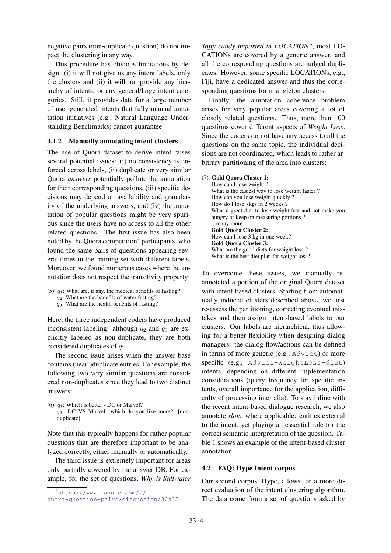negative pairs (non-duplicate question) do not impact the clustering in any way.

This procedure has obvious limitations by design: (i) it will not give us any intent labels, only the clusters and (ii) it will not provide any hierarchy of intents, or any general/large intent categories. Still, it provides data for a large number of user-generated intents that fully manual annotation initiatives (e.g., Natural Language Understanding Benchmarks) cannot guarantee.

## 4.1.2 Manually annotating intent clusters

The use of Quora dataset to derive intent raises several potential issues: (i) no consistency is enforced across labels, (ii) duplicate or very similar Quora *answers* potentially pollute the annotation for their corresponding questions, (iii) specific decisions may depend on availability and granularity of the underlying answers, and (iv) the annotation of popular questions might be very spurious since the users have no access to all the other related questions. The first issue has also been noted by the Quora competition<sup>[4](#page-4-0)</sup> participants, who found the same pairs of questions appearing several times in the training set with different labels. Moreover, we found numerous cases where the annotation does not respect the transitivity property:

(5)  $q_1$ : What are, if any, the medical benefits of fasting?  $q_2$ : What are the benefits of water fasting?  $q_3$ : What are the health benefits of fasting?

Here, the three independent coders have produced inconsistent labeling: although  $q_2$  and  $q_3$  are explicitly labeled as non-duplicate, they are both considered duplicates of  $q_1$ .

The second issue arises when the answer base contains (near-)duplicate entries. For example, the following two very similar questions are considered non-duplicates since they lead to two distinct answers:

(6)  $q_1$ : Which is better - DC or Marvel? q2: DC VS Marvel: which do you like more? [nonduplicate]

Note that this typically happens for rather popular questions that are therefore important to be analyzed correctly, either manually or automatically.

The third issue is extremely important for areas only partially covered by the answer DB. For example, for the set of questions, *Why is Saltwater*

*Taffy candy imported in LOCATION?*, most LO-CATIONs are covered by a generic answer, and all the corresponding questions are judged duplicates. However, some specific LOCATIONs, e.g., Fiji, have a dedicated answer and thus the corresponding questions form singleton clusters.

Finally, the annotation coherence problem arises for very popular areas covering a lot of closely related questions. Thus, more than 100 questions cover different aspects of *Weight Loss*. Since the coders do not have any access to all the questions on the same topic, the individual decisions are not coordinated, which leads to rather arbitrary partitioning of the area into clusters:

#### <span id="page-4-1"></span>(7) Gold Quora Cluster 1:

How can I lose weight ? What is the easiest way to lose weight faster ? How can you lose weight quickly ? How do I lose 7kgs in 2 weeks ? What a great diet to lose weight fast and not make you hungry or keep on measuring portions ? .. many more Gold Quora Cluster 2: How can I lose 3 kg in one week? Gold Quora Cluster 3: What are the good diets for weight loss ? What is the best diet plan for weight loss?

To overcome these issues, we manually reannotated a portion of the original Quora dataset with intent-based clusters. Starting from automatically induced clusters described above, we first re-assess the partitioning, correcting eventual mistakes and then assign intent-based labels to our clusters. Our labels are hierarchical, thus allowing for a better flexibility when designing dialog managers: the dialog flow/actions can be defined in terms of more generic (e.g., Advice) or more specific (e.g., Advice-WeightLoss-diet) intents, depending on different implementation considerations (query frequency for specific intents, overall importance for the application, difficulty of processing inter alia). To stay inline with the recent intent-based dialogue research, we also annotate *slots*, where applicable: entities external to the intent, yet playing an essential role for the correct semantic interpretation of the question. Table [1](#page-5-1) shows an example of the intent-based cluster annotation.

#### 4.2 FAQ: Hype Intent corpus

Our second corpus, Hype, allows for a more direct evaluation of the intent clustering algorithm. The data come from a set of questions asked by

<span id="page-4-0"></span><sup>4</sup>[https://www.kaggle.com/c/](https://www.kaggle.com/c/quora-question-pairs/discussion/30435)

[quora-question-pairs/discussion/30435](https://www.kaggle.com/c/quora-question-pairs/discussion/30435)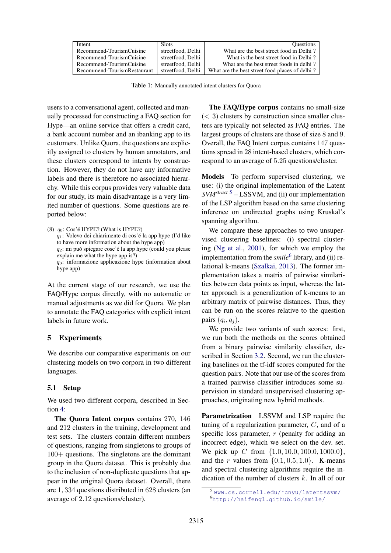<span id="page-5-1"></span>

| Intent                      | <b>Slots</b>      | <b>Ouestions</b>                               |
|-----------------------------|-------------------|------------------------------------------------|
| Recommend-TourismCuisine    | streetfood, Delhi | What are the best street food in Delhi?        |
| Recommend-TourismCuisine    | streetfood, Delhi | What is the best street food in Delhi?         |
| Recommend-TourismCuisine    | streetfood, Delhi | What are the best street foods in delhi?       |
| Recommend-TourismRestaurant | streetfood, Delhi | What are the best street food places of delhi? |

Table 1: Manually annotated intent clusters for Quora

users to a conversational agent, collected and manually processed for constructing a FAQ section for Hype—an online service that offers a credit card, a bank account number and an ibanking app to its customers. Unlike Quora, the questions are explicitly assigned to clusters by human annotators, and these clusters correspond to intents by construction. However, they do not have any informative labels and there is therefore no associated hierarchy. While this corpus provides very valuable data for our study, its main disadvantage is a very limited number of questions. Some questions are reported below:

```
(8) q_0: Cos'é HYPE? (What is HYPE?)
 q_1: Volevo dei chiarimente di cos'é la app hype (I'd like
 to have more information about the hype app)
 q_2: mi puó spiegare cose' é la app hype (could you please
explain me what the hype app is?)
 q_3: informazione applicazione hype (information about
hype app)
```
At the current stage of our research, we use the FAQ/Hype corpus directly, with no automatic or manual adjustments as we did for Quora. We plan to annotate the FAQ categories with explicit intent labels in future work.

# <span id="page-5-0"></span>5 Experiments

We describe our comparative experiments on our clustering models on two corpora in two different languages.

#### 5.1 Setup

We used two different corpora, described in Section [4:](#page-3-3)

The Quora Intent corpus contains 270, 146 and 212 clusters in the training, development and test sets. The clusters contain different numbers of questions, ranging from singletons to groups of 100+ questions. The singletons are the dominant group in the Quora dataset. This is probably due to the inclusion of non-duplicate questions that appear in the original Quora dataset. Overall, there are 1, 334 questions distributed in 628 clusters (an average of 2.12 questions/cluster).

The FAQ/Hype corpus contains no small-size  $(< 3)$  clusters by construction since smaller clusters are typically not selected as FAQ entries. The largest groups of clusters are those of size 8 and 9. Overall, the FAQ Intent corpus contains 147 questions spread in 28 intent-based clusters, which correspond to an average of 5.25 questions/cluster.

Models To perform supervised clustering, we use: (i) the original implementation of the Latent *SVMstruct* [5](#page-5-2) – LSSVM, and (ii) our implementation of the LSP algorithm based on the same clustering inference on undirected graphs using Kruskal's spanning algorithm.

We compare these approaches to two unsupervised clustering baselines: (i) spectral clustering [\(Ng et al.,](#page-10-17) [2001\)](#page-10-17), for which we employ the implementation from the *smile*<sup>[6](#page-5-3)</sup> library, and (ii) relational k-means [\(Szalkai,](#page-10-18) [2013\)](#page-10-18). The former implementation takes a matrix of pairwise similarities between data points as input, whereas the latter approach is a generalization of k-means to an arbitrary matrix of pairwise distances. Thus, they can be run on the scores relative to the question pairs  $(q_i, q_j)$ .

We provide two variants of such scores: first, we run both the methods on the scores obtained from a binary pairwise similarity classifier, described in Section [3.2.](#page-3-4) Second, we run the clustering baselines on the tf-idf scores computed for the question pairs. Note that our use of the scores from a trained pairwise classifier introduces some supervision in standard unsupervised clustering approaches, originating new hybrid methods.

Parametrization LSSVM and LSP require the tuning of a regularization parameter, C, and of a specific loss parameter,  $r$  (penalty for adding an incorrect edge), which we select on the dev. set. We pick up C from  $\{1.0, 10.0, 100.0, 1000.0\}$ , and the r values from  $\{0.1, 0.5, 1.0\}$ . K-means and spectral clustering algorithms require the indication of the number of clusters  $k$ . In all of our

<span id="page-5-3"></span><span id="page-5-2"></span><sup>5</sup> [www.cs.cornell.edu/˜cnyu/latentssvm/](www.cs.cornell.edu/~cnyu/latentssvm/) <sup>6</sup><http://haifengl.github.io/smile/>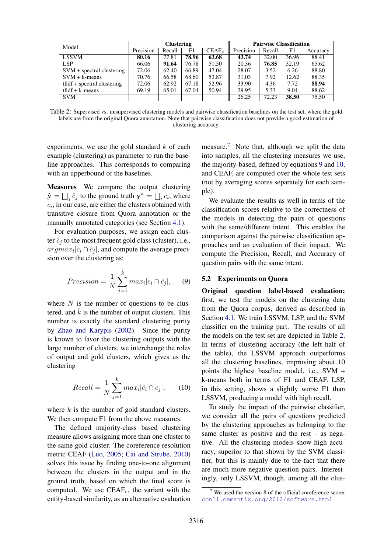<span id="page-6-3"></span>

| Model                         | <b>Clustering</b> |        |       |          | <b>Pairwise Classification</b> |        |       |          |
|-------------------------------|-------------------|--------|-------|----------|--------------------------------|--------|-------|----------|
|                               | Precision         | Recall | F1    | $CEAF_e$ | Precision                      | Recall | F1    | Accuracy |
| <b>LSSVM</b>                  | 80.16             | 77.81  | 78.96 | 63.68    | 43.74                          | 32.00  | 36.96 | 88.41    |
| LSP                           | 66.06             | 91.64  | 76.78 | 51.50    | 20.36                          | 76.85  | 32.19 | 65.62    |
| $SVM + spectral clustering$   | 72.06             | 62.40  | 66.89 | 47.04    | 28.07                          | 3.52   | 6.26  | 88.80    |
| $SVM + k-means$               | 70.76             | 66.58  | 68.60 | 53.87    | 31.03                          | 7.92   | 12.62 | 88.35    |
| $tfiff + spectral clustering$ | 72.06             | 62.92  | 67.18 | 52.96    | 33.90                          | 4.36   | 7.72  | 88.94    |
| $tfiff + k-means$             | 69.19             | 65.01  | 67.04 | 50.94    | 29.95                          | 5.33   | 9.04  | 88.62    |
| <b>SVM</b>                    |                   |        |       |          | 26.25                          | 72.23  | 38.50 | 75.50    |

Table 2: Supervised vs. unsupervised clustering models and pairwise classification baselines on the test set, where the gold labels are from the original Quora annotation. Note that pairwise classification does not provide a good estimation of clustering accuracy.

experiments, we use the gold standard  $k$  of each example (clustering) as parameter to run the baseline approaches. This corresponds to comparing with an upperbound of the baselines.

Measures We compare the output clustering  $\hat{\mathbf{y}} = \bigsqcup_i \hat{c}_j$  to the ground truth  $\mathbf{y}^* = \bigsqcup_i c_i$ , where  $c_i$ , in our case, are either the clusters obtained with transitive closure from Quora annotation or the manually annotated categories (see Section [4.1\)](#page-3-5).

For evaluation purposes, we assign each cluster  $\hat{c}_i$  to the most frequent gold class (cluster), i.e.,  $argmax_i |c_i \cap \hat{c}_j|$ , and compute the average precision over the clustering as:

<span id="page-6-1"></span>
$$
Precision = \frac{1}{N} \sum_{j=1}^{\hat{k}} max_i |c_i \cap \hat{c}_j|, \quad (9)
$$

where  $N$  is the number of questions to be clustered, and  $\hat{k}$  is the number of output clusters. This number is exactly the standard clustering purity by [Zhao and Karypis](#page-11-1) [\(2002\)](#page-11-1). Since the purity is known to favor the clustering outputs with the large number of clusters, we interchange the roles of output and gold clusters, which gives us the clustering

<span id="page-6-2"></span>
$$
Recall = \frac{1}{N} \sum_{j=1}^{k} max_i |\hat{c}_i \cap c_j|, \qquad (10)
$$

where  $k$  is the number of gold standard clusters. We then compute F1 from the above measures.

The defined majority-class based clustering measure allows assigning more than one cluster to the same gold cluster. The coreference resolution metric CEAF [\(Luo,](#page-10-19) [2005;](#page-10-19) [Cai and Strube,](#page-9-17) [2010\)](#page-9-17) solves this issue by finding one-to-one alignment between the clusters in the output and in the ground truth, based on which the final score is computed. We use  $CEAF_e$ , the variant with the entity-based similarity, as an alternative evaluation

measure.<sup>[7](#page-6-0)</sup> Note that, although we split the data into samples, all the clustering measures we use, the majority-based, defined by equations [9](#page-6-1) and [10,](#page-6-2) and CEAF, are computed over the whole test sets (not by averaging scores separately for each sample).

We evaluate the results as well in terms of the classification scores relative to the correctness of the models in detecting the pairs of questions with the same/different intent. This enables the comparison against the pairwise classification approaches and an evaluation of their impact. We compute the Precision, Recall, and Accuracy of question pairs with the same intent.

## 5.2 Experiments on Quora

Original question label-based evaluation: first, we test the models on the clustering data from the Quora corpus, derived as described in Section [4.1.](#page-3-5) We train LSSVM, LSP, and the SVM classifier on the training part. The results of all the models on the test set are depicted in Table [2.](#page-6-3) In terms of clustering accuracy (the left half of the table), the LSSVM approach outperforms all the clustering baselines, improving about 10 points the highest baseline model, i.e., SVM + k-means both in terms of F1 and CEAF. LSP, in this setting, shows a slightly worse F1 than LSSVM, producing a model with high recall.

To study the impact of the pairwise classifier, we consider all the pairs of questions predicted by the clustering approaches as belonging to the same cluster as positive and the rest – as negative. All the clustering models show high accuracy, superior to that shown by the SVM classifier, but this is mainly due to the fact that there are much more negative question pairs. Interestingly, only LSSVM, though, among all the clus-

<span id="page-6-0"></span> $7$  We used the version 8 of the official coreference scorer <conll.cemantix.org/2012/software.html>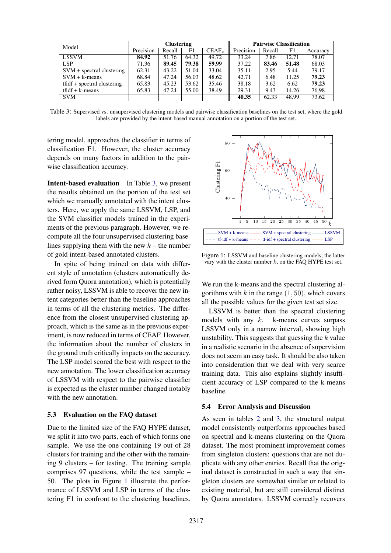<span id="page-7-0"></span>

| Model                         | <b>Clustering</b> |        |       |          | <b>Pairwise Classification</b> |        |       |          |
|-------------------------------|-------------------|--------|-------|----------|--------------------------------|--------|-------|----------|
|                               | Precision         | Recall | F1    | $CEAF_e$ | Precision                      | Recall | F1    | Accuracy |
| <b>LSSVM</b>                  | 84.92             | 51.76  | 64.32 | 49.72    | 33.24                          | 7.86   | 12.71 | 78.07    |
| LSP                           | 71.36             | 89.45  | 79.38 | 59.99    | 37.22                          | 83.46  | 51.48 | 68.03    |
| $SVM + spectral clustering$   | 62.31             | 43.22  | 51.04 | 33.04    | 35.11                          | 2.95   | 5.44  | 79.17    |
| $SVM + k-means$               | 68.84             | 47.24  | 56.03 | 48.62    | 42.71                          | 6.48   | 11.25 | 79.23    |
| $tfiff + spectral clustering$ | 65.83             | 45.23  | 53.62 | 35.46    | 38.18                          | 3.62   | 6.62  | 79.23    |
| $tfiff + k-means$             | 65.83             | 47.24  | 55.00 | 38.49    | 29.31                          | 9.43   | 14.26 | 76.98    |
| <b>SVM</b>                    |                   |        |       |          | 40.35                          | 62.33  | 48.99 | 73.62    |

Table 3: Supervised vs. unsupervised clustering models and pairwise classification baselines on the test set, where the gold labels are provided by the intent-based manual annotation on a portion of the test set.

tering model, approaches the classifier in terms of classification F1. However, the cluster accuracy depends on many factors in addition to the pairwise classification accuracy.

Intent-based evaluation In Table [3,](#page-7-0) we present the results obtained on the portion of the test set which we manually annotated with the intent clusters. Here, we apply the same LSSVM, LSP, and the SVM classifier models trained in the experiments of the previous paragraph. However, we recompute all the four unsupervised clustering baselines supplying them with the new  $k$  – the number of gold intent-based annotated clusters.

In spite of being trained on data with different style of annotation (clusters automatically derived form Quora annotation), which is potentially rather noisy, LSSVM is able to recover the new intent categories better than the baseline approaches in terms of all the clustering metrics. The difference from the closest unsupervised clustering approach, which is the same as in the previous experiment, is now reduced in terms of CEAF. However, the information about the number of clusters in the ground truth critically impacts on the accuracy. The LSP model scored the best with respect to the new annotation. The lower classification accuracy of LSSVM with respect to the pairwise classifier is expected as the cluster number changed notably with the new annotation.

### <span id="page-7-3"></span>5.3 Evaluation on the FAQ dataset

Due to the limited size of the FAQ HYPE dataset, we split it into two parts, each of which forms one sample. We use the one containing 19 out of 28 clusters for training and the other with the remaining 9 clusters – for testing. The training sample comprises 97 questions, while the test sample – 50. The plots in Figure [1](#page-7-1) illustrate the performance of LSSVM and LSP in terms of the clustering F1 in confront to the clustering baselines.

<span id="page-7-1"></span>

<span id="page-7-2"></span>Figure 1: LSSVM and baseline clustering models; the latter vary with the cluster number  $k$ , on the FAQ HYPE test set.

We run the k-means and the spectral clustering algorithms with  $k$  in the range  $(1, 50)$ , which covers all the possible values for the given test set size.

LSSVM is better than the spectral clustering models with any  $k$ . k-means curves surpass LSSVM only in a narrow interval, showing high unstability. This suggests that guessing the  $k$  value in a realistic scenario in the absence of supervision does not seem an easy task. It should be also taken into consideration that we deal with very scarce training data. This also explains slightly insufficient accuracy of LSP compared to the k-means baseline.

## 5.4 Error Analysis and Discussion

As seen in tables [2](#page-6-3) and [3,](#page-7-0) the structural output model consistently outperforms approaches based on spectral and k-means clustering on the Quora dataset. The most prominent improvement comes from singleton clusters: questions that are not duplicate with any other entries. Recall that the original dataset is constructed in such a way that singleton clusters are somewhat similar or related to existing material, but are still considered distinct by Quora annotators. LSSVM correctly recovers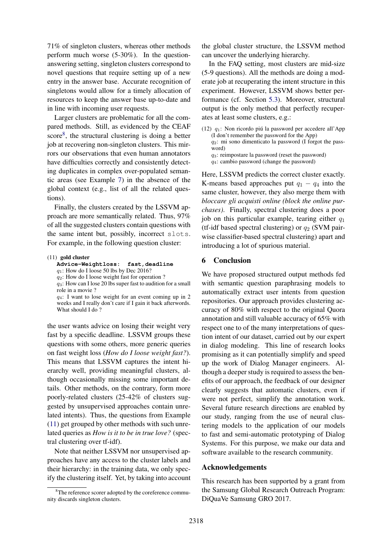71% of singleton clusters, whereas other methods perform much worse (5-30%). In the questionanswering setting, singleton clusters correspond to novel questions that require setting up of a new entry in the answer base. Accurate recognition of singletons would allow for a timely allocation of resources to keep the answer base up-to-date and in line with incoming user requests.

Larger clusters are problematic for all the compared methods. Still, as evidenced by the CEAF score<sup>[8](#page-8-0)</sup>, the structural clustering is doing a better job at recovering non-singleton clusters. This mirrors our observations that even human annotators have difficulties correctly and consistently detecting duplicates in complex over-populated semantic areas (see Example [7\)](#page-4-1) in the absence of the global context (e.g., list of all the related questions).

Finally, the clusters created by the LSSVM approach are more semantically related. Thus, 97% of all the suggested clusters contain questions with the same intent but, possibly, incorrect slots. For example, in the following question cluster:

#### <span id="page-8-1"></span>(11) gold cluster

**Advice-Weightloss: fast,deadline**

 $q_1$ : How do I loose 50 lbs by Dec 2016?

q2: How do I loose weight fast for operation ?

 $q_3$ : How can I lose 20 lbs super fast to audition for a small role in a movie ?

 $q_4$ : I want to lose weight for an event coming up in 2 weeks and I really don't care if I gain it back afterwords. What should I do ?

the user wants advice on losing their weight very fast by a specific deadline. LSSVM groups these questions with some others, more generic queries on fast weight loss (*How do I loose weight fast?*). This means that LSSVM captures the intent hierarchy well, providing meaningful clusters, although occasionally missing some important details. Other methods, on the contrary, form more poorly-related clusters (25-42% of clusters suggested by unsupervised approaches contain unrelated intents). Thus, the questions from Example [\(11\)](#page-8-1) get grouped by other methods with such unrelated queries as *How is it to be in true love?* (spectral clustering over tf-idf).

Note that neither LSSVM nor unsupervised approaches have any access to the cluster labels and their hierarchy: in the training data, we only specify the clustering itself. Yet, by taking into account

the global cluster structure, the LSSVM method can uncover the underlying hierarchy.

In the FAQ setting, most clusters are mid-size (5-9 questions). All the methods are doing a moderate job at recuperating the intent structure in this experiment. However, LSSVM shows better performance (cf. Section [5.3\)](#page-7-3). Moreover, structural output is the only method that perfectly recuperates at least some clusters, e.g.:

(12)  $q_1$ : Non ricordo piú la password per accedere all'App (I don't remember the password for the App)  $q_2$ : mi sono dimenticato la password (I forgot the password)  $q_3$ : reimpostare la password (reset the password) q4: cambio password (change the password)

Here, LSSVM predicts the correct cluster exactly. K-means based approaches put  $q_1 - q_4$  into the same cluster, however, they also merge them with *bloccare gli acquisti online (block the online purchases)*. Finally, spectral clustering does a poor job on this particular example, tearing either  $q_1$ (tf-idf based spectral clustering) or  $q_2$  (SVM pairwise classifier-based spectral clustering) apart and introducing a lot of spurious material.

#### 6 Conclusion

We have proposed structured output methods fed with semantic question paraphrasing models to automatically extract user intents from question repositories. Our approach provides clustering accuracy of 80% with respect to the original Quora annotation and still valuable accuracy of 65% with respect one to of the many interpretations of question intent of our dataset, carried out by our expert in dialog modeling. This line of research looks promising as it can potentially simplify and speed up the work of Dialog Manager engineers. Although a deeper study is required to assess the benefits of our approach, the feedback of our designer clearly suggests that automatic clusters, even if were not perfect, simplify the annotation work. Several future research directions are enabled by our study, ranging from the use of neural clustering models to the application of our models to fast and semi-automatic prototyping of Dialog Systems. For this purpose, we make our data and software available to the research community.

#### Acknowledgements

This research has been supported by a grant from the Samsung Global Research Outreach Program: DiQuaVe Samsung GRO 2017.

<span id="page-8-0"></span><sup>&</sup>lt;sup>8</sup>The reference scorer adopted by the coreference community discards singleton clusters.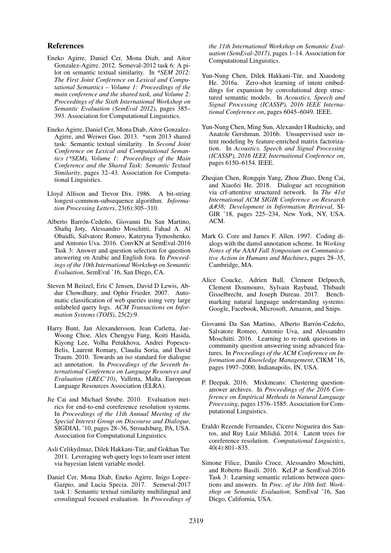#### References

- <span id="page-9-1"></span>Eneko Agirre, Daniel Cer, Mona Diab, and Aitor Gonzalez-Agirre. 2012. Semeval-2012 task 6: A pilot on semantic textual similarity. In *\*SEM 2012: The First Joint Conference on Lexical and Computational Semantics – Volume 1: Proceedings of the main conference and the shared task, and Volume 2: Proceedings of the Sixth International Workshop on Semantic Evaluation (SemEval 2012)*, pages 385– 393. Association for Computational Linguistics.
- <span id="page-9-15"></span>Eneko Agirre, Daniel Cer, Mona Diab, Aitor Gonzalez-Agirre, and Weiwei Guo. 2013. \*sem 2013 shared task: Semantic textual similarity. In *Second Joint Conference on Lexical and Computational Semantics (\*SEM), Volume 1: Proceedings of the Main Conference and the Shared Task: Semantic Textual Similarity*, pages 32–43. Association for Computational Linguistics.
- <span id="page-9-16"></span>Lloyd Allison and Trevor Dix. 1986. A bit-string longest-common-subsequence algorithm. *Information Processing Letters*, 23(6):305–310.
- <span id="page-9-13"></span>Alberto Barrón-Cedeño, Giovanni Da San Martino, Shafiq Joty, Alessandro Moschitti, Fahad A. Al Obaidli, Salvatore Romeo, Kateryna Tymoshenko, and Antonio Uva. 2016. ConvKN at SemEval-2016 Task 3: Answer and question selection for question answering on Arabic and English fora. In *Proceedings of the 10th International Workshop on Semantic Evaluation*, SemEval '16, San Diego, CA.
- <span id="page-9-7"></span>Steven M Beitzel, Eric C Jensen, David D Lewis, Abdur Chowdhury, and Ophir Frieder. 2007. Automatic classification of web queries using very large unlabeled query logs. *ACM Transactions on Information Systems (TOIS)*, 25(2):9.
- <span id="page-9-11"></span>Harry Bunt, Jan Alexandersson, Jean Carletta, Jae-Woong Choe, Alex Chengyu Fang, Koiti Hasida, Kiyong Lee, Volha Petukhova, Andrei Popescu-Belis, Laurent Romary, Claudia Soria, and David Traum. 2010. Towards an iso standard for dialogue act annotation. In *Proceedings of the Seventh International Conference on Language Resources and Evaluation (LREC'10)*, Valletta, Malta. European Language Resources Association (ELRA).
- <span id="page-9-17"></span>Jie Cai and Michael Strube. 2010. Evaluation metrics for end-to-end coreference resolution systems. In *Proceedings of the 11th Annual Meeting of the Special Interest Group on Discourse and Dialogue*, SIGDIAL '10, pages 28–36, Stroudsburg, PA, USA. Association for Computational Linguistics.
- <span id="page-9-4"></span>Asli Celikyilmaz, Dilek Hakkani-Tür, and Gokhan Tur. 2011. Leveraging web query logs to learn user intent via bayesian latent variable model.
- <span id="page-9-2"></span>Daniel Cer, Mona Diab, Eneko Agirre, Inigo Lopez-Gazpio, and Lucia Specia. 2017. Semeval-2017 task 1: Semantic textual similarity multilingual and crosslingual focused evaluation. In *Proceedings of*

*the 11th International Workshop on Semantic Evaluation (SemEval-2017)*, pages 1–14. Association for Computational Linguistics.

- <span id="page-9-5"></span>Yun-Nung Chen, Dilek Hakkani-Tür, and Xiaodong He. 2016a. Zero-shot learning of intent embeddings for expansion by convolutional deep structured semantic models. In *Acoustics, Speech and Signal Processing (ICASSP), 2016 IEEE International Conference on*, pages 6045–6049. IEEE.
- <span id="page-9-6"></span>Yun-Nung Chen, Ming Sun, Alexander I Rudnicky, and Anatole Gershman. 2016b. Unsupervised user intent modeling by feature-enriched matrix factorization. In *Acoustics, Speech and Signal Processing (ICASSP), 2016 IEEE International Conference on*, pages 6150–6154. IEEE.
- <span id="page-9-9"></span>Zheqian Chen, Rongqin Yang, Zhou Zhao, Deng Cai, and Xiaofei He. 2018. Dialogue act recognition via crf-attentive structured network. In *The 41st International ACM SIGIR Conference on Research & Development in Information Retrieval*, SI-GIR '18, pages 225–234, New York, NY, USA. ACM.
- <span id="page-9-10"></span>Mark G. Core and James F. Allen. 1997. Coding dialogs with the damsl annotation scheme. In *Working Notes of the AAAI Fall Symposium on Communicative Action in Humans and Machines*, pages 28–35, Cambridge, MA.
- <span id="page-9-0"></span>Alice Coucke, Adrien Ball, Clement Delpuech, Clement Doumouro, Sylvain Raybaud, Thibault Gisselbrecht, and Joseph Dureau. 2017. Benchmarking natural language understanding systems: Google, Facebook, Microsoft, Amazon, and Snips.
- <span id="page-9-14"></span>Giovanni Da San Martino, Alberto Barrón-Cedeño, Salvatore Romeo, Antonio Uva, and Alessandro Moschitti. 2016. Learning to re-rank questions in community question answering using advanced features. In *Proceedings of the ACM Conference on Information and Knowledge Management*, CIKM '16, pages 1997–2000, Indianapolis, IN, USA.
- <span id="page-9-8"></span>P. Deepak. 2016. Mixkmeans: Clustering questionanswer archives. In *Proceedings of the 2016 Conference on Empirical Methods in Natural Language Processing*, pages 1576–1585. Association for Computational Linguistics.
- <span id="page-9-3"></span>Eraldo Rezende Fernandes, Cícero Nogueira dos Santos, and Ruy Luiz Milidiú. 2014. Latent trees for coreference resolution. *Computational Linguistics*, 40(4):801–835.
- <span id="page-9-12"></span>Simone Filice, Danilo Croce, Alessandro Moschitti, and Roberto Basili. 2016. KeLP at SemEval-2016 Task 3: Learning semantic relations between questions and answers. In *Proc. of the 10th Intl. Workshop on Semantic Evaluation*, SemEval '16, San Diego, California, USA.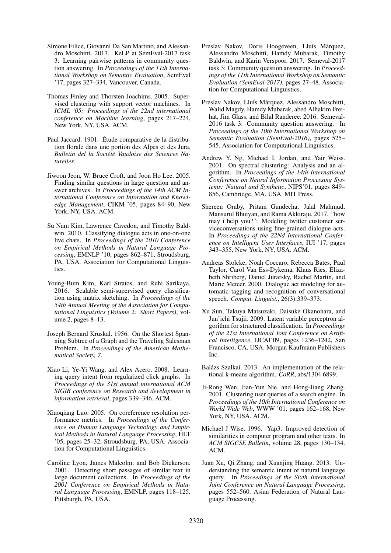- <span id="page-10-13"></span>Simone Filice, Giovanni Da San Martino, and Alessandro Moschitti. 2017. KeLP at SemEval-2017 task 3: Learning pairwise patterns in community question answering. In *Proceedings of the 11th International Workshop on Semantic Evaluation*, SemEval '17, pages 327–334, Vancouver, Canada.
- <span id="page-10-10"></span>Thomas Finley and Thorsten Joachims. 2005. Supervised clustering with support vector machines. In *ICML '05: Proceedings of the 22nd international conference on Machine learning*, pages 217–224, New York, NY, USA. ACM.
- <span id="page-10-15"></span>Paul Jaccard. 1901. Étude comparative de la distribution florale dans une portion des Alpes et des Jura. *Bulletin del la Société Vaudoise des Sciences Naturelles*.
- <span id="page-10-5"></span>Jiwoon Jeon, W. Bruce Croft, and Joon Ho Lee. 2005. Finding similar questions in large question and answer archives. In *Proceedings of the 14th ACM International Conference on Information and Knowledge Management*, CIKM '05, pages 84–90, New York, NY, USA. ACM.
- <span id="page-10-8"></span>Su Nam Kim, Lawrence Cavedon, and Timothy Baldwin. 2010. Classifying dialogue acts in one-on-one live chats. In *Proceedings of the 2010 Conference on Empirical Methods in Natural Language Processing*, EMNLP '10, pages 862–871, Stroudsburg, PA, USA. Association for Computational Linguistics.
- <span id="page-10-3"></span>Young-Bum Kim, Karl Stratos, and Ruhi Sarikaya. 2016. Scalable semi-supervised query classification using matrix sketching. In *Proceedings of the 54th Annual Meeting of the Association for Computational Linguistics (Volume 2: Short Papers)*, volume 2, pages 8–13.
- <span id="page-10-11"></span>Joseph Bernard Kruskal. 1956. On the Shortest Spanning Subtree of a Graph and the Traveling Salesman Problem. In *Proceedings of the American Mathematical Society, 7*.
- <span id="page-10-6"></span>Xiao Li, Ye-Yi Wang, and Alex Acero. 2008. Learning query intent from regularized click graphs. In *Proceedings of the 31st annual international ACM SIGIR conference on Research and development in information retrieval*, pages 339–346. ACM.
- <span id="page-10-19"></span>Xiaoqiang Luo. 2005. On coreference resolution performance metrics. In *Proceedings of the Conference on Human Language Technology and Empirical Methods in Natural Language Processing*, HLT '05, pages 25–32, Stroudsburg, PA, USA. Association for Computational Linguistics.
- <span id="page-10-16"></span>Caroline Lyon, James Malcolm, and Bob Dickerson. 2001. Detecting short passages of similar text in large document collections. In *Proceedings of the 2001 Conference on Empirical Methods in Natural Language Processing*, EMNLP, pages 118–125, Pittsburgh, PA, USA.
- <span id="page-10-1"></span>Preslav Nakov, Doris Hoogeveen, Lluís Màrquez, Alessandro Moschitti, Hamdy Mubarak, Timothy Baldwin, and Karin Verspoor. 2017. Semeval-2017 task 3: Community question answering. In *Proceedings of the 11th International Workshop on Semantic Evaluation (SemEval-2017)*, pages 27–48. Association for Computational Linguistics.
- <span id="page-10-0"></span>Preslav Nakov, Lluís Màrquez, Alessandro Moschitti, Walid Magdy, Hamdy Mubarak, abed Alhakim Freihat, Jim Glass, and Bilal Randeree. 2016. Semeval-2016 task 3: Community question answering. In *Proceedings of the 10th International Workshop on Semantic Evaluation (SemEval-2016)*, pages 525– 545. Association for Computational Linguistics.
- <span id="page-10-17"></span>Andrew Y. Ng, Michael I. Jordan, and Yair Weiss. 2001. On spectral clustering: Analysis and an algorithm. In *Proceedings of the 14th International Conference on Neural Information Processing Systems: Natural and Synthetic*, NIPS'01, pages 849– 856, Cambridge, MA, USA. MIT Press.
- <span id="page-10-9"></span>Shereen Oraby, Pritam Gundecha, Jalal Mahmud, Mansurul Bhuiyan, and Rama Akkiraju. 2017. "how may i help you?": Modeling twitter customer serviceconversations using fine-grained dialogue acts. In *Proceedings of the 22Nd International Conference on Intelligent User Interfaces*, IUI '17, pages 343–355, New York, NY, USA. ACM.
- <span id="page-10-7"></span>Andreas Stolcke, Noah Coccaro, Rebecca Bates, Paul Taylor, Carol Van Ess-Dykema, Klaus Ries, Elizabeth Shriberg, Daniel Jurafsky, Rachel Martin, and Marie Meteer. 2000. Dialogue act modeling for automatic tagging and recognition of conversational speech. *Comput. Linguist.*, 26(3):339–373.
- <span id="page-10-12"></span>Xu Sun, Takuya Matsuzaki, Daisuke Okanohara, and Jun'ichi Tsujii. 2009. Latent variable perceptron algorithm for structured classification. In *Proceedings of the 21st International Jont Conference on Artifical Intelligence*, IJCAI'09, pages 1236–1242, San Francisco, CA, USA. Morgan Kaufmann Publishers Inc.
- <span id="page-10-18"></span>Balázs Szalkai. 2013. An implementation of the relational k-means algorithm. *CoRR*, abs/1304.6899.
- <span id="page-10-4"></span>Ji-Rong Wen, Jian-Yun Nie, and Hong-Jiang Zhang. 2001. Clustering user queries of a search engine. In *Proceedings of the 10th International Conference on World Wide Web*, WWW '01, pages 162–168, New York, NY, USA. ACM.
- <span id="page-10-14"></span>Michael J Wise. 1996. Yap3: Improved detection of similarities in computer program and other texts. In *ACM SIGCSE Bulletin*, volume 28, pages 130–134. ACM.
- <span id="page-10-2"></span>Juan Xu, Qi Zhang, and Xuanjing Huang. 2013. Understanding the semantic intent of natural language query. In *Proceedings of the Sixth International Joint Conference on Natural Language Processing*, pages 552–560. Asian Federation of Natural Language Processing.